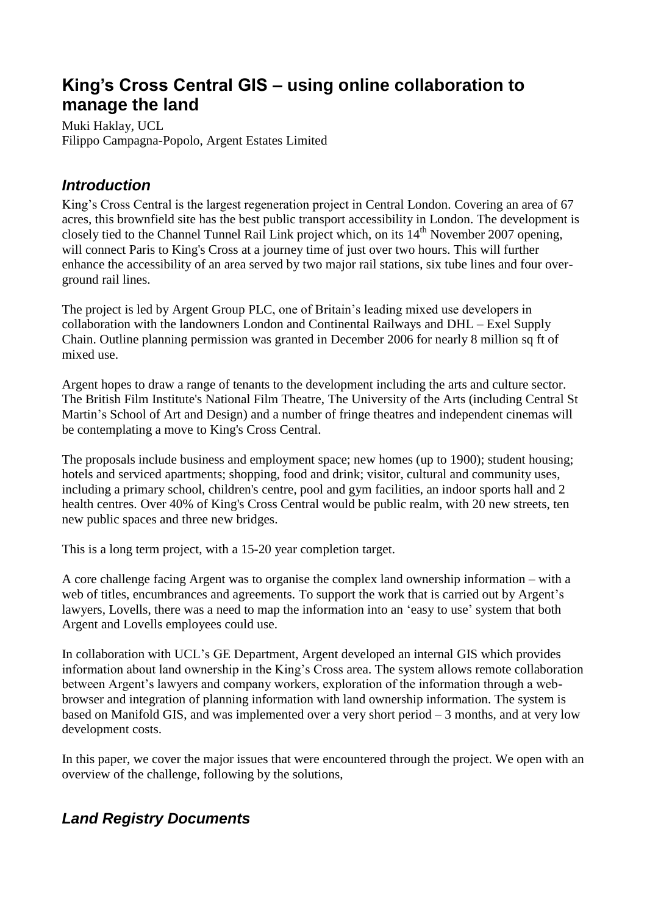# **King's Cross Central GIS – using online collaboration to manage the land**

Muki Haklay, UCL Filippo Campagna-Popolo, Argent Estates Limited

### *Introduction*

King's Cross Central is the largest regeneration project in Central London. Covering an area of 67 acres, this brownfield site has the best public transport accessibility in London. The development is closely tied to the Channel Tunnel Rail Link project which, on its  $14<sup>th</sup>$  November 2007 opening, will connect Paris to King's Cross at a journey time of just over two hours. This will further enhance the accessibility of an area served by two major rail stations, six tube lines and four overground rail lines.

The project is led by Argent Group PLC, one of Britain's leading mixed use developers in collaboration with the landowners London and Continental Railways and DHL – Exel Supply Chain. Outline planning permission was granted in December 2006 for nearly 8 million sq ft of mixed use.

Argent hopes to draw a range of tenants to the development including the arts and culture sector. The British Film Institute's National Film Theatre, The University of the Arts (including Central St Martin's School of Art and Design) and a number of fringe theatres and independent cinemas will be contemplating a move to King's Cross Central.

The proposals include business and employment space; new homes (up to 1900); student housing; hotels and serviced apartments; shopping, food and drink; visitor, cultural and community uses, including a primary school, children's centre, pool and gym facilities, an indoor sports hall and 2 health centres. Over 40% of King's Cross Central would be public realm, with 20 new streets, ten new public spaces and three new bridges.

This is a long term project, with a 15-20 year completion target.

A core challenge facing Argent was to organise the complex land ownership information – with a web of titles, encumbrances and agreements. To support the work that is carried out by Argent's lawyers, Lovells, there was a need to map the information into an 'easy to use' system that both Argent and Lovells employees could use.

In collaboration with UCL's GE Department, Argent developed an internal GIS which provides information about land ownership in the King's Cross area. The system allows remote collaboration between Argent's lawyers and company workers, exploration of the information through a webbrowser and integration of planning information with land ownership information. The system is based on Manifold GIS, and was implemented over a very short period – 3 months, and at very low development costs.

In this paper, we cover the major issues that were encountered through the project. We open with an overview of the challenge, following by the solutions,

## *Land Registry Documents*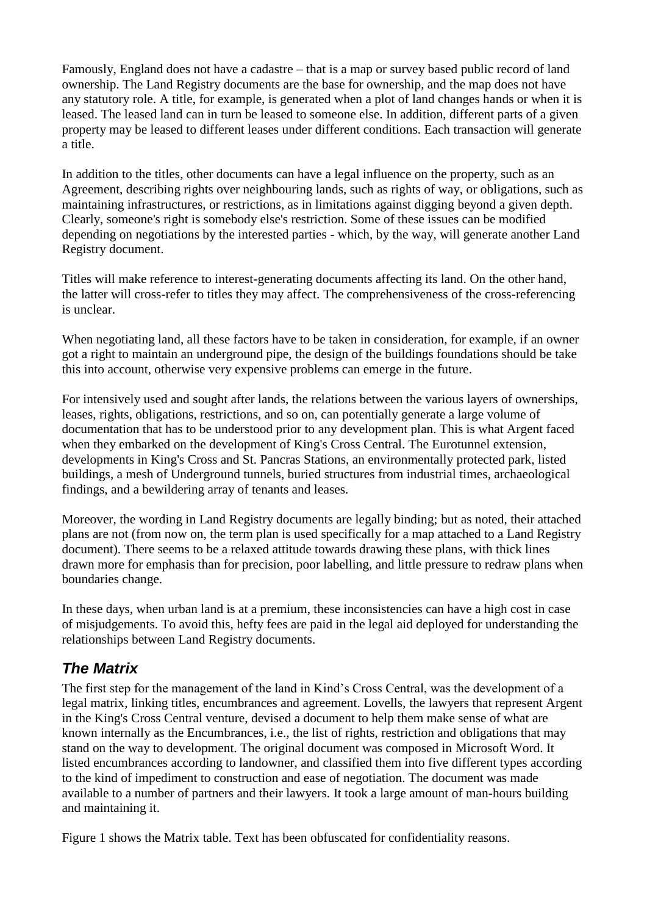Famously, England does not have a cadastre – that is a map or survey based public record of land ownership. The Land Registry documents are the base for ownership, and the map does not have any statutory role. A title, for example, is generated when a plot of land changes hands or when it is leased. The leased land can in turn be leased to someone else. In addition, different parts of a given property may be leased to different leases under different conditions. Each transaction will generate a title.

In addition to the titles, other documents can have a legal influence on the property, such as an Agreement, describing rights over neighbouring lands, such as rights of way, or obligations, such as maintaining infrastructures, or restrictions, as in limitations against digging beyond a given depth. Clearly, someone's right is somebody else's restriction. Some of these issues can be modified depending on negotiations by the interested parties - which, by the way, will generate another Land Registry document.

Titles will make reference to interest-generating documents affecting its land. On the other hand, the latter will cross-refer to titles they may affect. The comprehensiveness of the cross-referencing is unclear.

When negotiating land, all these factors have to be taken in consideration, for example, if an owner got a right to maintain an underground pipe, the design of the buildings foundations should be take this into account, otherwise very expensive problems can emerge in the future.

For intensively used and sought after lands, the relations between the various layers of ownerships, leases, rights, obligations, restrictions, and so on, can potentially generate a large volume of documentation that has to be understood prior to any development plan. This is what Argent faced when they embarked on the development of King's Cross Central. The Eurotunnel extension, developments in King's Cross and St. Pancras Stations, an environmentally protected park, listed buildings, a mesh of Underground tunnels, buried structures from industrial times, archaeological findings, and a bewildering array of tenants and leases.

Moreover, the wording in Land Registry documents are legally binding; but as noted, their attached plans are not (from now on, the term plan is used specifically for a map attached to a Land Registry document). There seems to be a relaxed attitude towards drawing these plans, with thick lines drawn more for emphasis than for precision, poor labelling, and little pressure to redraw plans when boundaries change.

In these days, when urban land is at a premium, these inconsistencies can have a high cost in case of misjudgements. To avoid this, hefty fees are paid in the legal aid deployed for understanding the relationships between Land Registry documents.

## *The Matrix*

The first step for the management of the land in Kind's Cross Central, was the development of a legal matrix, linking titles, encumbrances and agreement. Lovells, the lawyers that represent Argent in the King's Cross Central venture, devised a document to help them make sense of what are known internally as the Encumbrances, i.e., the list of rights, restriction and obligations that may stand on the way to development. The original document was composed in Microsoft Word. It listed encumbrances according to landowner, and classified them into five different types according to the kind of impediment to construction and ease of negotiation. The document was made available to a number of partners and their lawyers. It took a large amount of man-hours building and maintaining it.

Figure 1 shows the Matrix table. Text has been obfuscated for confidentiality reasons.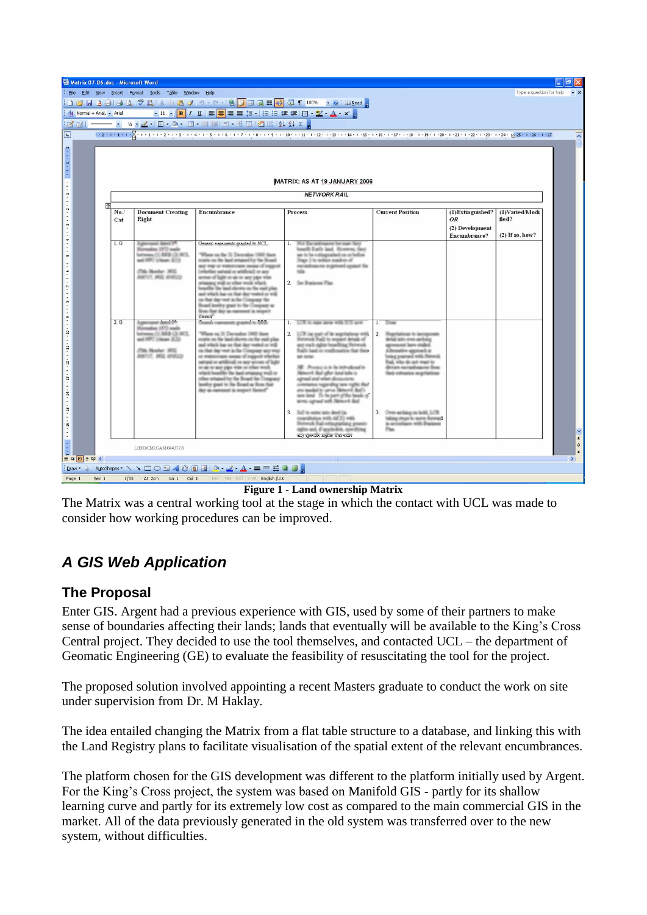| Matrix 07-06.doc - Microsoft Word                                                                                                                                                                                              |     |                                                      |                                                                                                                                                              |                                                                                                                                                                                                                                                                                                                                                                                                                                                                                                                             |                                                                                                                                                                                                                                                                                                                                                                                                                                                                                                                                                                                                                                                                                  |                                                                                                                                                                                                                                                                                                                                                                                                              |                                                                  |                                              |                                               |
|--------------------------------------------------------------------------------------------------------------------------------------------------------------------------------------------------------------------------------|-----|------------------------------------------------------|--------------------------------------------------------------------------------------------------------------------------------------------------------------|-----------------------------------------------------------------------------------------------------------------------------------------------------------------------------------------------------------------------------------------------------------------------------------------------------------------------------------------------------------------------------------------------------------------------------------------------------------------------------------------------------------------------------|----------------------------------------------------------------------------------------------------------------------------------------------------------------------------------------------------------------------------------------------------------------------------------------------------------------------------------------------------------------------------------------------------------------------------------------------------------------------------------------------------------------------------------------------------------------------------------------------------------------------------------------------------------------------------------|--------------------------------------------------------------------------------------------------------------------------------------------------------------------------------------------------------------------------------------------------------------------------------------------------------------------------------------------------------------------------------------------------------------|------------------------------------------------------------------|----------------------------------------------|-----------------------------------------------|
| : File Edit View Insert Format Tools Table Window Help<br>Type a question for help                                                                                                                                             |     |                                                      |                                                                                                                                                              |                                                                                                                                                                                                                                                                                                                                                                                                                                                                                                                             |                                                                                                                                                                                                                                                                                                                                                                                                                                                                                                                                                                                                                                                                                  |                                                                                                                                                                                                                                                                                                                                                                                                              |                                                                  |                                              |                                               |
| {Dranal + Aris], 2 Aristo (1) → 2 Aristo (1) → 2 Aristo (1) → 2 Aristo (1) → 2 Aristo (1) → 2 Aristo (1) → 2 A<br>{ At Normal + Aris], - Arist (1) → 2 Arist (1) → 2 Aristo (1) → 2 Aristo (1) → 2 Aristo (1) → 2 Aristo (1) → |     |                                                      |                                                                                                                                                              |                                                                                                                                                                                                                                                                                                                                                                                                                                                                                                                             |                                                                                                                                                                                                                                                                                                                                                                                                                                                                                                                                                                                                                                                                                  |                                                                                                                                                                                                                                                                                                                                                                                                              |                                                                  |                                              |                                               |
|                                                                                                                                                                                                                                |     |                                                      |                                                                                                                                                              |                                                                                                                                                                                                                                                                                                                                                                                                                                                                                                                             |                                                                                                                                                                                                                                                                                                                                                                                                                                                                                                                                                                                                                                                                                  |                                                                                                                                                                                                                                                                                                                                                                                                              |                                                                  |                                              |                                               |
| 138 3 - - → W · 2 · B · 3 · B · □ 国 · 王出   扫   扫   上 弘 ↓                                                                                                                                                                       |     |                                                      |                                                                                                                                                              |                                                                                                                                                                                                                                                                                                                                                                                                                                                                                                                             |                                                                                                                                                                                                                                                                                                                                                                                                                                                                                                                                                                                                                                                                                  |                                                                                                                                                                                                                                                                                                                                                                                                              |                                                                  |                                              |                                               |
| 同                                                                                                                                                                                                                              |     |                                                      |                                                                                                                                                              |                                                                                                                                                                                                                                                                                                                                                                                                                                                                                                                             |                                                                                                                                                                                                                                                                                                                                                                                                                                                                                                                                                                                                                                                                                  |                                                                                                                                                                                                                                                                                                                                                                                                              |                                                                  |                                              |                                               |
|                                                                                                                                                                                                                                |     | MATRIX: AS AT 19 JANUARY 2006<br><b>NETWORK RAIL</b> |                                                                                                                                                              |                                                                                                                                                                                                                                                                                                                                                                                                                                                                                                                             |                                                                                                                                                                                                                                                                                                                                                                                                                                                                                                                                                                                                                                                                                  |                                                                                                                                                                                                                                                                                                                                                                                                              |                                                                  |                                              |                                               |
|                                                                                                                                                                                                                                | $+$ |                                                      |                                                                                                                                                              |                                                                                                                                                                                                                                                                                                                                                                                                                                                                                                                             |                                                                                                                                                                                                                                                                                                                                                                                                                                                                                                                                                                                                                                                                                  |                                                                                                                                                                                                                                                                                                                                                                                                              |                                                                  |                                              |                                               |
|                                                                                                                                                                                                                                |     | No.<br>Cat                                           | <b>Document Creating</b><br>Right                                                                                                                            | Encumbrance                                                                                                                                                                                                                                                                                                                                                                                                                                                                                                                 | Process                                                                                                                                                                                                                                                                                                                                                                                                                                                                                                                                                                                                                                                                          | <b>Current Position</b>                                                                                                                                                                                                                                                                                                                                                                                      | (1)Extinguished?<br><b>OR</b><br>(2) Development<br>Encumbrance? | (1)Varied/Modi<br>fied?<br>$(2)$ If so, how? |                                               |
|                                                                                                                                                                                                                                |     | 1.53                                                 | <b>Lippersond: Adolf 17</b><br>Monados (IFS) auda<br>Sattemen (7): 883-121-997L<br>and NPC column 2018<br>(7th Norsky, 165)<br><b>JOURNAL JANES ARRESCEN</b> | Ganazic ascamante granted to MCT -<br>"Where on the 31 December 1988 State<br>courts on the basil ariused by the Board<br>any way or watercoase issues of import-<br>(infarible) surrand or aristhmall or any<br>access of light or sizes any yape was<br>distribute states radius with passenger<br>beautiful the land shown on the suit plan<br>and which has on that day vested or will<br>on Hart-Any vest in the Company the<br>Board lawky grant to the Company as<br>Book Hall day as represent in respect<br>ustant | 1.<br>Not have and reasons for man flave<br>locatili Early laud. However, flays<br>gar its he estimpsialized on or before<br>Stage 2 to reduce searches of<br>restautosauces ingalveed against the<br><b>SOLU</b><br>2. See Brannons Flas                                                                                                                                                                                                                                                                                                                                                                                                                                        |                                                                                                                                                                                                                                                                                                                                                                                                              |                                                                  |                                              |                                               |
|                                                                                                                                                                                                                                |     | 2.53                                                 | <b>Editorianal Banck PA</b><br>Menados 1972 auda<br>Sattemen (0) 888-02-903.<br>and NPC column 2.23<br>(7th Hanker, 355).<br>JOBETUR: MOS. 40100223          | Overes reasonably granted to \$300.<br>"When on 31 December 1988 then<br>moters can the land shown on the real plan<br>and which has on that day outsel or will<br>on that day your is the Company any way<br>or restractions means of register whether<br>autual or arbitral) or any arous of light<br>on an on any year with no other work<br>which boughts the land schanning well on<br>other senated by the Board the Company<br>lamby goat to the Boast at from that<br>day as research in respect Second"            | 1. 1000 to man area with \$100 apre-<br>LCR (as part of its suprisations with<br>2.<br>Stellwood Stall to require details of<br>any rack sights bearling Network.<br>Fually loads or conditionations that there<br>are some<br>18 Process is to be introduced in<br>Hence it Ball after land tells in<br>agreed and when distantions<br>commerce regarding term rights that<br>and teacher's cames Melecott Ball's<br>new land. To be part of the heads of<br>terms agreed with Network Ball<br>3. Soft to sales axio deed tie.<br>coardistics with 42(3) with<br>Network Eqal estinguishing generic<br>rights and, if spycholds, specificing<br>day specific rights right exist | $1^{-}$<br><b>Tikin</b><br>$\overline{2}$<br>Slapylations in acceptents<br>detail any over arthing<br>agreement have risked<br>Edmonton approach in<br>bring passed with Newch<br>East, who do not want to<br><b>Brooze recredingcost firms</b><br>Shrik refereeiste negotiatione<br>3<br>Chronic specifisings can findlife. 15728.<br>habing shopping agrees Someon<br>in arrowliance with Business<br>Than |                                                                  |                                              | $\pmb{\star}$                                 |
|                                                                                                                                                                                                                                |     |                                                      | LIBO3/CM1GAM/844377.8                                                                                                                                        |                                                                                                                                                                                                                                                                                                                                                                                                                                                                                                                             |                                                                                                                                                                                                                                                                                                                                                                                                                                                                                                                                                                                                                                                                                  |                                                                                                                                                                                                                                                                                                                                                                                                              |                                                                  |                                              | $\circ$<br>$\overline{\ast}$<br>$\rightarrow$ |
| iDraw → AutoShapes - ヽヽ□○日4☆ B 図 ♪ ク - ノ - A - 三三三 □ □ ■                                                                                                                                                                       |     |                                                      |                                                                                                                                                              |                                                                                                                                                                                                                                                                                                                                                                                                                                                                                                                             |                                                                                                                                                                                                                                                                                                                                                                                                                                                                                                                                                                                                                                                                                  |                                                                                                                                                                                                                                                                                                                                                                                                              |                                                                  |                                              |                                               |
| Ln 1 Col 1 REC TRK EXT OVR English (U.K<br>1/33 At 2cm<br>Page 1<br>Sec 1                                                                                                                                                      |     |                                                      |                                                                                                                                                              |                                                                                                                                                                                                                                                                                                                                                                                                                                                                                                                             |                                                                                                                                                                                                                                                                                                                                                                                                                                                                                                                                                                                                                                                                                  |                                                                                                                                                                                                                                                                                                                                                                                                              |                                                                  |                                              |                                               |

#### **Figure 1 - Land ownership Matrix**

The Matrix was a central working tool at the stage in which the contact with UCL was made to consider how working procedures can be improved.

## *A GIS Web Application*

### **The Proposal**

Enter GIS. Argent had a previous experience with GIS, used by some of their partners to make sense of boundaries affecting their lands; lands that eventually will be available to the King's Cross Central project. They decided to use the tool themselves, and contacted UCL – the department of Geomatic Engineering (GE) to evaluate the feasibility of resuscitating the tool for the project.

The proposed solution involved appointing a recent Masters graduate to conduct the work on site under supervision from Dr. M Haklay.

The idea entailed changing the Matrix from a flat table structure to a database, and linking this with the Land Registry plans to facilitate visualisation of the spatial extent of the relevant encumbrances.

The platform chosen for the GIS development was different to the platform initially used by Argent. For the King's Cross project, the system was based on Manifold GIS - partly for its shallow learning curve and partly for its extremely low cost as compared to the main commercial GIS in the market. All of the data previously generated in the old system was transferred over to the new system, without difficulties.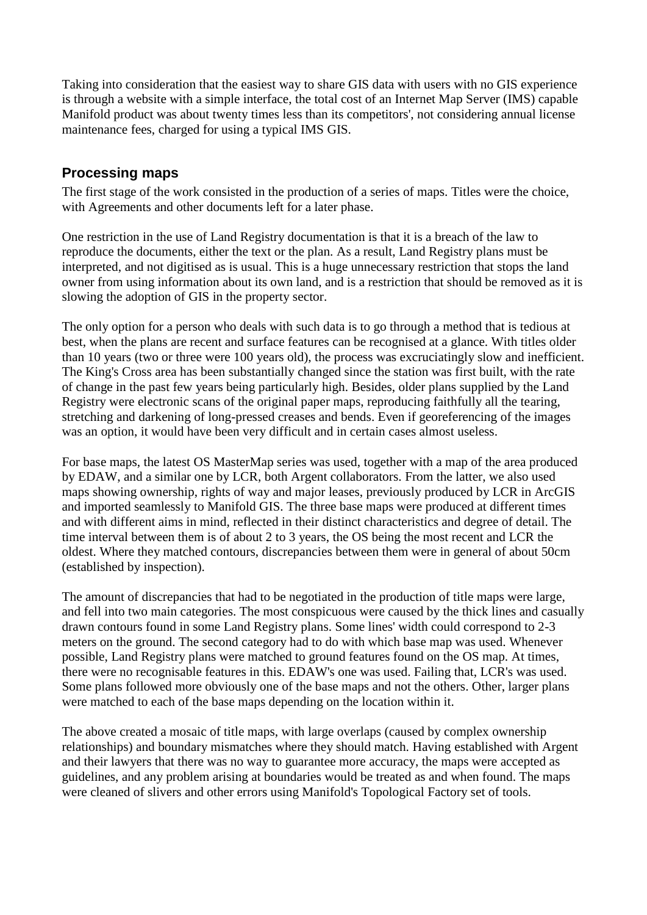Taking into consideration that the easiest way to share GIS data with users with no GIS experience is through a website with a simple interface, the total cost of an Internet Map Server (IMS) capable Manifold product was about twenty times less than its competitors', not considering annual license maintenance fees, charged for using a typical IMS GIS.

### **Processing maps**

The first stage of the work consisted in the production of a series of maps. Titles were the choice, with Agreements and other documents left for a later phase.

One restriction in the use of Land Registry documentation is that it is a breach of the law to reproduce the documents, either the text or the plan. As a result, Land Registry plans must be interpreted, and not digitised as is usual. This is a huge unnecessary restriction that stops the land owner from using information about its own land, and is a restriction that should be removed as it is slowing the adoption of GIS in the property sector.

The only option for a person who deals with such data is to go through a method that is tedious at best, when the plans are recent and surface features can be recognised at a glance. With titles older than 10 years (two or three were 100 years old), the process was excruciatingly slow and inefficient. The King's Cross area has been substantially changed since the station was first built, with the rate of change in the past few years being particularly high. Besides, older plans supplied by the Land Registry were electronic scans of the original paper maps, reproducing faithfully all the tearing, stretching and darkening of long-pressed creases and bends. Even if georeferencing of the images was an option, it would have been very difficult and in certain cases almost useless.

For base maps, the latest OS MasterMap series was used, together with a map of the area produced by EDAW, and a similar one by LCR, both Argent collaborators. From the latter, we also used maps showing ownership, rights of way and major leases, previously produced by LCR in ArcGIS and imported seamlessly to Manifold GIS. The three base maps were produced at different times and with different aims in mind, reflected in their distinct characteristics and degree of detail. The time interval between them is of about 2 to 3 years, the OS being the most recent and LCR the oldest. Where they matched contours, discrepancies between them were in general of about 50cm (established by inspection).

The amount of discrepancies that had to be negotiated in the production of title maps were large, and fell into two main categories. The most conspicuous were caused by the thick lines and casually drawn contours found in some Land Registry plans. Some lines' width could correspond to 2-3 meters on the ground. The second category had to do with which base map was used. Whenever possible, Land Registry plans were matched to ground features found on the OS map. At times, there were no recognisable features in this. EDAW's one was used. Failing that, LCR's was used. Some plans followed more obviously one of the base maps and not the others. Other, larger plans were matched to each of the base maps depending on the location within it.

The above created a mosaic of title maps, with large overlaps (caused by complex ownership relationships) and boundary mismatches where they should match. Having established with Argent and their lawyers that there was no way to guarantee more accuracy, the maps were accepted as guidelines, and any problem arising at boundaries would be treated as and when found. The maps were cleaned of slivers and other errors using Manifold's Topological Factory set of tools.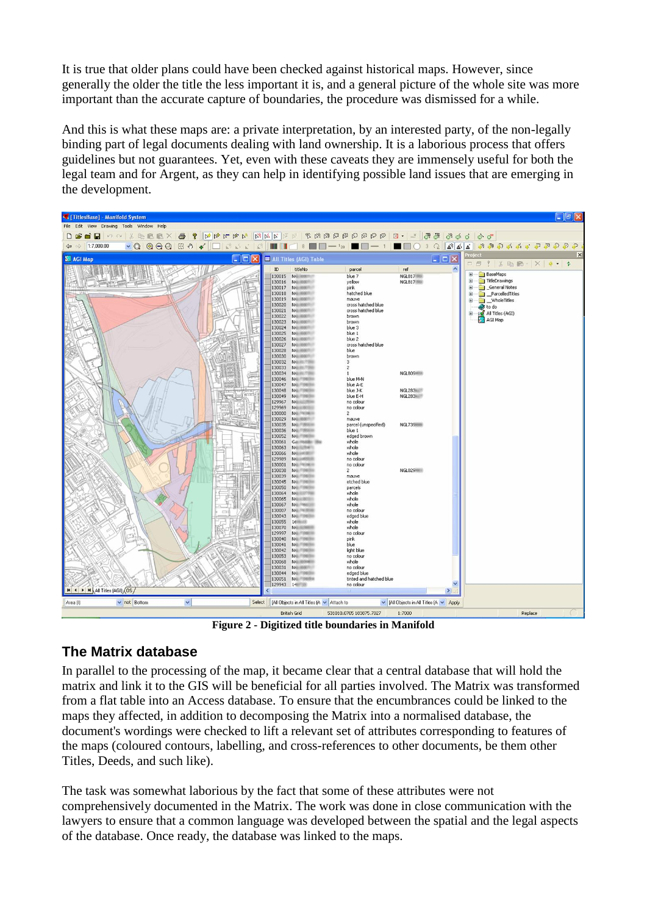It is true that older plans could have been checked against historical maps. However, since generally the older the title the less important it is, and a general picture of the whole site was more important than the accurate capture of boundaries, the procedure was dismissed for a while.

And this is what these maps are: a private interpretation, by an interested party, of the non-legally binding part of legal documents dealing with land ownership. It is a laborious process that offers guidelines but not guarantees. Yet, even with these caveats they are immensely useful for both the legal team and for Argent, as they can help in identifying possible land issues that are emerging in the development.



**Figure 2 - Digitized title boundaries in Manifold**

### **The Matrix database**

In parallel to the processing of the map, it became clear that a central database that will hold the matrix and link it to the GIS will be beneficial for all parties involved. The Matrix was transformed from a flat table into an Access database. To ensure that the encumbrances could be linked to the maps they affected, in addition to decomposing the Matrix into a normalised database, the document's wordings were checked to lift a relevant set of attributes corresponding to features of the maps (coloured contours, labelling, and cross-references to other documents, be them other Titles, Deeds, and such like).

The task was somewhat laborious by the fact that some of these attributes were not comprehensively documented in the Matrix. The work was done in close communication with the lawyers to ensure that a common language was developed between the spatial and the legal aspects of the database. Once ready, the database was linked to the maps.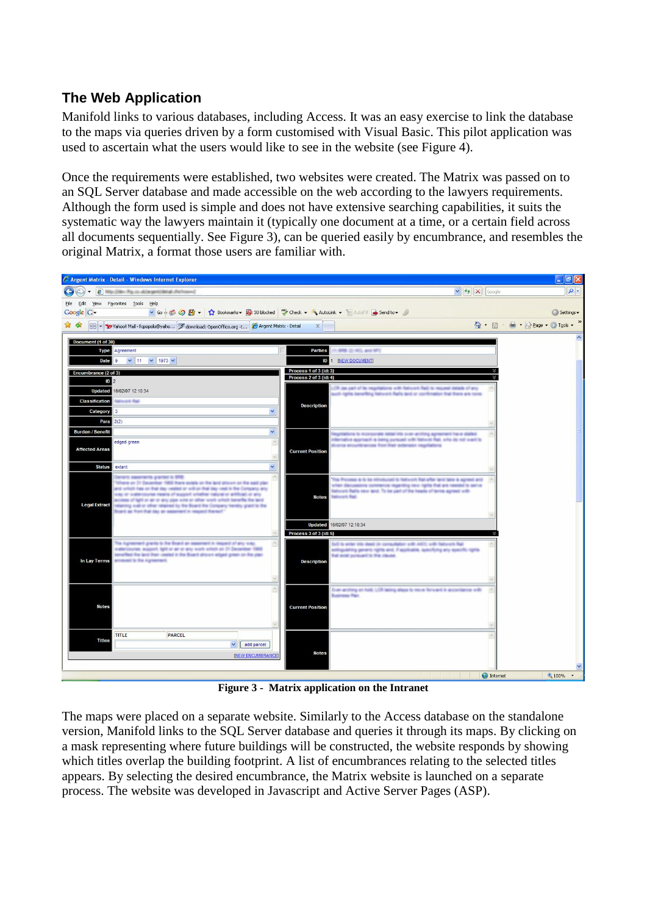### **The Web Application**

Manifold links to various databases, including Access. It was an easy exercise to link the database to the maps via queries driven by a form customised with Visual Basic. This pilot application was used to ascertain what the users would like to see in the website (see Figure 4).

Once the requirements were established, two websites were created. The Matrix was passed on to an SQL Server database and made accessible on the web according to the lawyers requirements. Although the form used is simple and does not have extensive searching capabilities, it suits the systematic way the lawyers maintain it (typically one document at a time, or a certain field across all documents sequentially. See Figure 3), can be queried easily by encumbrance, and resembles the original Matrix, a format those users are familiar with.



**Figure 3 - Matrix application on the Intranet**

The maps were placed on a separate website. Similarly to the Access database on the standalone version, Manifold links to the SQL Server database and queries it through its maps. By clicking on a mask representing where future buildings will be constructed, the website responds by showing which titles overlap the building footprint. A list of encumbrances relating to the selected titles appears. By selecting the desired encumbrance, the Matrix website is launched on a separate process. The website was developed in Javascript and Active Server Pages (ASP).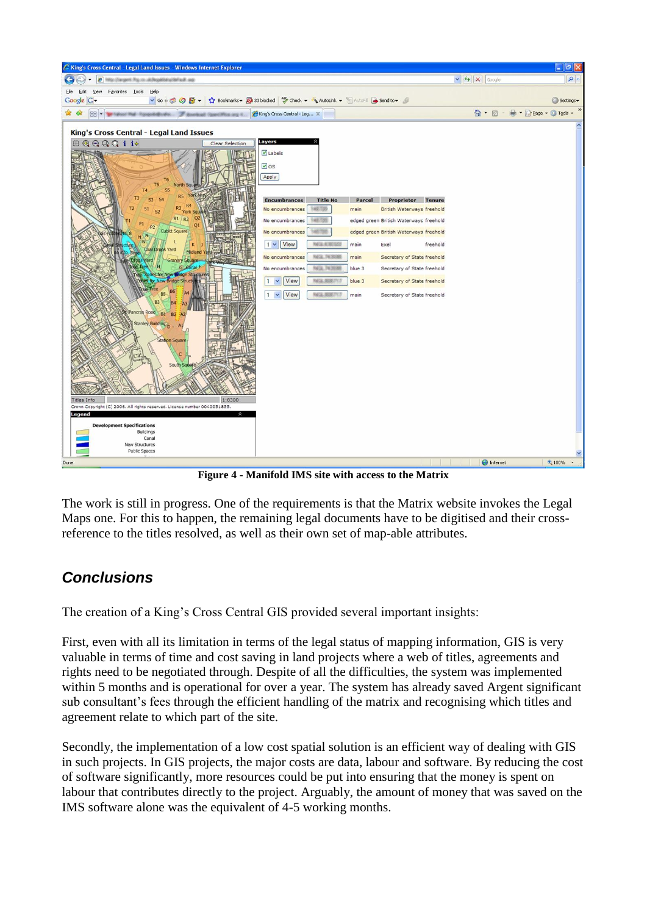

**Figure 4 - Manifold IMS site with access to the Matrix**

The work is still in progress. One of the requirements is that the Matrix website invokes the Legal Maps one. For this to happen, the remaining legal documents have to be digitised and their crossreference to the titles resolved, as well as their own set of map-able attributes.

## *Conclusions*

The creation of a King's Cross Central GIS provided several important insights:

First, even with all its limitation in terms of the legal status of mapping information, GIS is very valuable in terms of time and cost saving in land projects where a web of titles, agreements and rights need to be negotiated through. Despite of all the difficulties, the system was implemented within 5 months and is operational for over a year. The system has already saved Argent significant sub consultant's fees through the efficient handling of the matrix and recognising which titles and agreement relate to which part of the site.

Secondly, the implementation of a low cost spatial solution is an efficient way of dealing with GIS in such projects. In GIS projects, the major costs are data, labour and software. By reducing the cost of software significantly, more resources could be put into ensuring that the money is spent on labour that contributes directly to the project. Arguably, the amount of money that was saved on the IMS software alone was the equivalent of 4-5 working months.